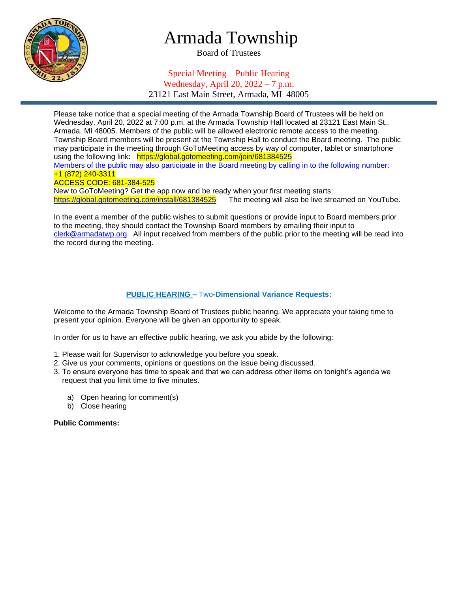

# Armada Township

Board of Trustees

### Special Meeting – Public Hearing Wednesday, April 20, 2022 – 7 p.m. 23121 East Main Street, Armada, MI 48005

Please take notice that a special meeting of the Armada Township Board of Trustees will be held on Wednesday, April 20, 2022 at 7:00 p.m. at the Armada Township Hall located at 23121 East Main St., Armada, MI 48005. Members of the public will be allowed electronic remote access to the meeting. Township Board members will be present at the Township Hall to conduct the Board meeting. The public may participate in the meeting through GoToMeeting access by way of computer, tablet or smartphone using the following link: https://global.gotomeeting.com/join/681384525 Members of the public may also participate in the Board meeting by calling in to the following number: +1 (872) 240-3311 ACCESS CODE: 681-384-525 New to GoToMeeting? Get the app now and be ready when your first meeting starts: <https://global.gotomeeting.com/install/681384525>The meeting will also be live streamed on YouTube.

In the event a member of the public wishes to submit questions or provide input to Board members prior to the meeting, they should contact the Township Board members by emailing their input to [clerk@armadatwp.org.](mailto:clerk@armadatwp.org) All input received from members of the public prior to the meeting will be read into the record during the meeting.

#### **PUBLIC HEARING –** Two**-Dimensional Variance Requests:**

Welcome to the Armada Township Board of Trustees public hearing. We appreciate your taking time to present your opinion. Everyone will be given an opportunity to speak.

In order for us to have an effective public hearing, we ask you abide by the following:

- 1. Please wait for Supervisor to acknowledge you before you speak.
- 2. Give us your comments, opinions or questions on the issue being discussed.
- 3. To ensure everyone has time to speak and that we can address other items on tonight's agenda we request that you limit time to five minutes.
	- a) Open hearing for comment(s)
	- b) Close hearing

**Public Comments:**